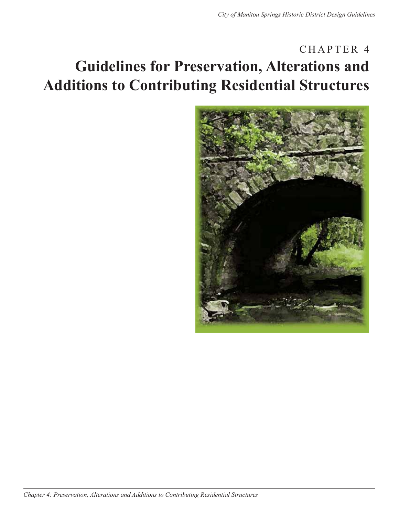# CHAPTER 4 **Guidelines for Preservation, Alterations and Additions to Contributing Residential Structures**

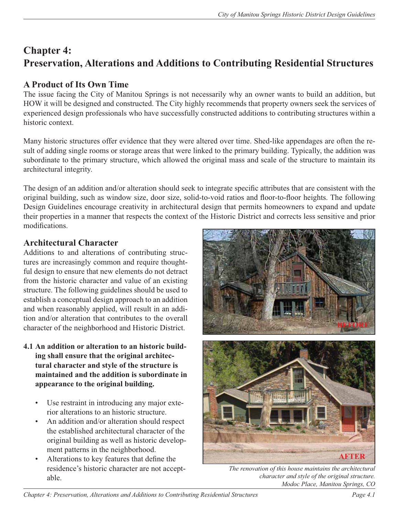## **Chapter 4: Preservation, Alterations and Additions to Contributing Residential Structures**

## **A Product of Its Own Time**

The issue facing the City of Manitou Springs is not necessarily why an owner wants to build an addition, but HOW it will be designed and constructed. The City highly recommends that property owners seek the services of experienced design professionals who have successfully constructed additions to contributing structures within a historic context.

Many historic structures offer evidence that they were altered over time. Shed-like appendages are often the result of adding single rooms or storage areas that were linked to the primary building. Typically, the addition was subordinate to the primary structure, which allowed the original mass and scale of the structure to maintain its architectural integrity.

The design of an addition and/or alteration should seek to integrate specific attributes that are consistent with the original building, such as window size, door size, solid-to-void ratios and floor-to-floor heights. The following Design Guidelines encourage creativity in architectural design that permits homeowners to expand and update their properties in a manner that respects the context of the Historic District and corrects less sensitive and prior modifications.

## **Architectural Character**

Additions to and alterations of contributing structures are increasingly common and require thoughtful design to ensure that new elements do not detract from the historic character and value of an existing structure. The following guidelines should be used to establish a conceptual design approach to an addition and when reasonably applied, will result in an addition and/or alteration that contributes to the overall character of the neighborhood and Historic District.

- **4.1 An addition or alteration to an historic building shall ensure that the original architectural character and style of the structure is maintained and the addition is subordinate in appearance to the original building.**
	- Use restraint in introducing any major exterior alterations to an historic structure.
	- An addition and/or alteration should respect the established architectural character of the original building as well as historic development patterns in the neighborhood.
	- Alterations to key features that define the residence's historic character are not acceptable.



*The renovation of this house maintains the architectural character and style of the original structure. Modoc Place, Manitou Springs, CO*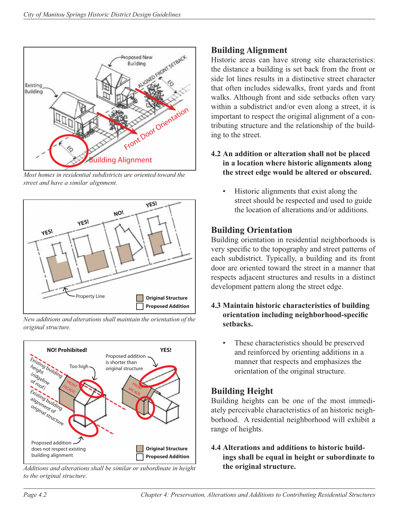

*Most homes in residential subdistricts are oriented toward the street and have a similar alignment.*







*Additions and alterations shall be similar or subordinate in height to the original structure.*

#### **Building Alignment**

Historic areas can have strong site characteristics: the distance a building is set back from the front or side lot lines results in a distinctive street character that often includes sidewalks, front yards and front walks. Although front and side setbacks often vary within a subdistrict and/or even along a street, it is important to respect the original alignment of a contributing structure and the relationship of the building to the street.

- **4.2 An addition or alteration shall not be placed in a location where historic alignments along the street edge would be altered or obscured.**
	- Historic alignments that exist along the street should be respected and used to guide the location of alterations and/or additions.

## **Building Orientation**

Building orientation in residential neighborhoods is very specific to the topography and street patterns of each subdistrict. Typically, a building and its front door are oriented toward the street in a manner that respects adjacent structures and results in a distinct development pattern along the street edge.

- **4.3 Maintain historic characteristics of building orientation including neighborhood-specific setbacks.**
	- These characteristics should be preserved and reinforced by orienting additions in a manner that respects and emphasizes the orientation of the original structure.

## **Building Height**

Building heights can be one of the most immediately perceivable characteristics of an historic neighborhood. A residential neighborhood will exhibit a range of heights.

#### **4.4 Alterations and additions to historic buildings shall be equal in height or subordinate to the original structure.**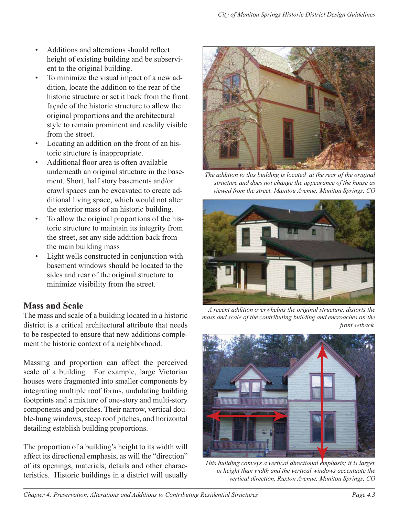- Additions and alterations should reflect height of existing building and be subservient to the original building.
- To minimize the visual impact of a new addition, locate the addition to the rear of the historic structure or set it back from the front façade of the historic structure to allow the original proportions and the architectural style to remain prominent and readily visible from the street.
- Locating an addition on the front of an historic structure is inappropriate.
- Additional floor area is often available underneath an original structure in the basement. Short, half story basements and/or crawl spaces can be excavated to create additional living space, which would not alter the exterior mass of an historic building.
- To allow the original proportions of the historic structure to maintain its integrity from the street, set any side addition back from the main building mass
- Light wells constructed in conjunction with basement windows should be located to the sides and rear of the original structure to minimize visibility from the street.

## **Mass and Scale**

The mass and scale of a building located in a historic district is a critical architectural attribute that needs to be respected to ensure that new additions complement the historic context of a neighborhood.

Massing and proportion can affect the perceived scale of a building. For example, large Victorian houses were fragmented into smaller components by integrating multiple roof forms, undulating building footprints and a mixture of one-story and multi-story components and porches. Their narrow, vertical double-hung windows, steep roof pitches, and horizontal detailing establish building proportions.

The proportion of a building's height to its width will affect its directional emphasis, as will the "direction" of its openings, materials, details and other characteristics. Historic buildings in a district will usually



*The addition to this building is located at the rear of the original structure and does not change the appearance of the house as viewed from the street. Manitou Avenue, Manitou Springs, CO*



*A recent addition overwhelms the original structure, distorts the mass and scale of the contributing building and encroaches on the front setback.*



*This building conveys a vertical directional emphasis; it is larger in height than width and the vertical windows accentuate the vertical direction. Ruxton Avenue, Manitou Springs, CO*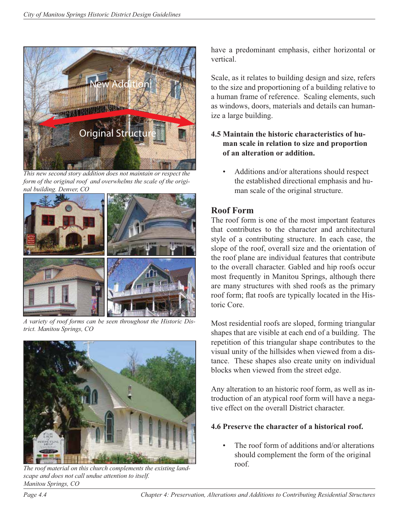

*This new second story addition does not maintain or respect the form of the original roof and overwhelms the scale of the original building. Denver, CO*



*A variety of roof forms can be seen throughout the Historic District. Manitou Springs, CO*



*The roof material on this church complements the existing landscape and does not call undue attention to itself. Manitou Springs, CO*

have a predominant emphasis, either horizontal or vertical.

Scale, as it relates to building design and size, refers to the size and proportioning of a building relative to a human frame of reference. Scaling elements, such as windows, doors, materials and details can humanize a large building.

#### **4.5 Maintain the historic characteristics of human scale in relation to size and proportion of an alteration or addition.**

• Additions and/or alterations should respect the established directional emphasis and human scale of the original structure.

## **Roof Form**

The roof form is one of the most important features that contributes to the character and architectural style of a contributing structure. In each case, the slope of the roof, overall size and the orientation of the roof plane are individual features that contribute to the overall character. Gabled and hip roofs occur most frequently in Manitou Springs, although there are many structures with shed roofs as the primary roof form; flat roofs are typically located in the Historic Core.

Most residential roofs are sloped, forming triangular shapes that are visible at each end of a building. The repetition of this triangular shape contributes to the visual unity of the hillsides when viewed from a distance. These shapes also create unity on individual blocks when viewed from the street edge.

Any alteration to an historic roof form, as well as introduction of an atypical roof form will have a negative effect on the overall District character.

#### **4.6 Preserve the character of a historical roof.**

The roof form of additions and/or alterations should complement the form of the original roof.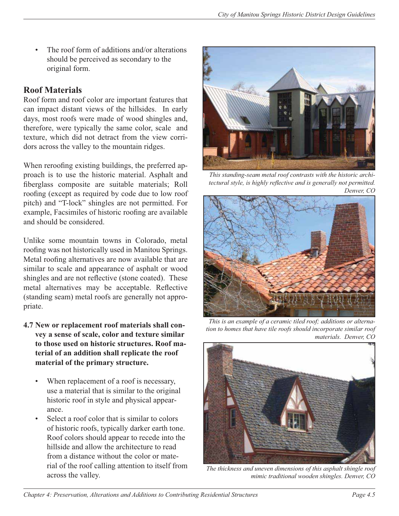The roof form of additions and/or alterations should be perceived as secondary to the original form.

## **Roof Materials**

Roof form and roof color are important features that can impact distant views of the hillsides. In early days, most roofs were made of wood shingles and, therefore, were typically the same color, scale and texture, which did not detract from the view corridors across the valley to the mountain ridges.

When reroofing existing buildings, the preferred approach is to use the historic material. Asphalt and fi berglass composite are suitable materials; Roll roofing (except as required by code due to low roof pitch) and "T-lock" shingles are not permitted. For example, Facsimiles of historic roofing are available and should be considered.

Unlike some mountain towns in Colorado, metal roofing was not historically used in Manitou Springs. Metal roofing alternatives are now available that are similar to scale and appearance of asphalt or wood shingles and are not reflective (stone coated). These metal alternatives may be acceptable. Reflective (standing seam) metal roofs are generally not appropriate.

- **4.7 New or replacement roof materials shall convey a sense of scale, color and texture similar to those used on historic structures. Roof material of an addition shall replicate the roof material of the primary structure.**
	- When replacement of a roof is necessary, use a material that is similar to the original historic roof in style and physical appearance.
	- Select a roof color that is similar to colors of historic roofs, typically darker earth tone. Roof colors should appear to recede into the hillside and allow the architecture to read from a distance without the color or material of the roof calling attention to itself from across the valley.



*This standing-seam metal roof contrasts with the historic architectural style, is highly reflective and is generally not permitted. Denver, CO*



*This is an example of a ceramic tiled roof; additions or alternation to homes that have tile roofs should incorporate similar roof materials. Denver, CO*



*The thickness and uneven dimensions of this asphalt shingle roof mimic traditional wooden shingles. Denver, CO*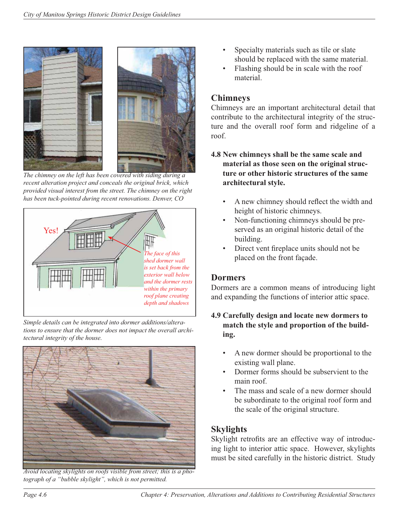

*The chimney on the left has been covered with siding during a recent alteration project and conceals the original brick, which provided visual interest from the street. The chimney on the right has been tuck-pointed during recent renovations. Denver, CO*



*Simple details can be integrated into dormer additions/alterations to ensure that the dormer does not impact the overall architectural integrity of the house.*



*Avoid locating skylights on roofs visible from street; this is a photograph of a "bubble skylight", which is not permitted.*

- Specialty materials such as tile or slate should be replaced with the same material.
- Flashing should be in scale with the roof material.

#### **Chimneys**

Chimneys are an important architectural detail that contribute to the architectural integrity of the structure and the overall roof form and ridgeline of a roof.

**4.8 New chimneys shall be the same scale and material as those seen on the original structure or other historic structures of the same architectural style.**

- A new chimney should reflect the width and height of historic chimneys.
- Non-functioning chimneys should be preserved as an original historic detail of the building.
- Direct vent fireplace units should not be placed on the front façade.

#### **Dormers**

Dormers are a common means of introducing light and expanding the functions of interior attic space.

#### **4.9 Carefully design and locate new dormers to match the style and proportion of the building.**

- A new dormer should be proportional to the existing wall plane.
- Dormer forms should be subservient to the main roof.
- The mass and scale of a new dormer should be subordinate to the original roof form and the scale of the original structure.

#### **Skylights**

Skylight retrofits are an effective way of introducing light to interior attic space. However, skylights must be sited carefully in the historic district. Study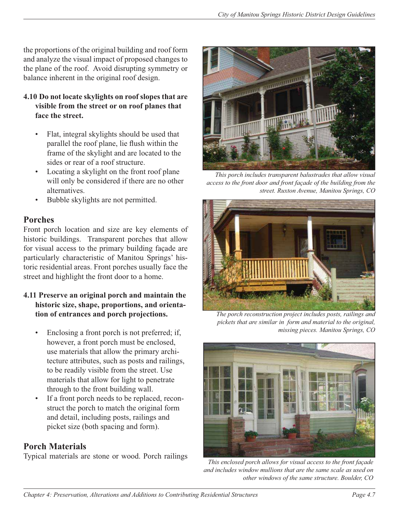the proportions of the original building and roof form and analyze the visual impact of proposed changes to the plane of the roof. Avoid disrupting symmetry or balance inherent in the original roof design.

#### **4.10 Do not locate skylights on roof slopes that are visible from the street or on roof planes that face the street.**

- Flat, integral skylights should be used that parallel the roof plane, lie flush within the frame of the skylight and are located to the sides or rear of a roof structure.
- Locating a skylight on the front roof plane will only be considered if there are no other alternatives.
- Bubble skylights are not permitted.

### **Porches**

Front porch location and size are key elements of historic buildings. Transparent porches that allow for visual access to the primary building façade are particularly characteristic of Manitou Springs' historic residential areas. Front porches usually face the street and highlight the front door to a home.

#### **4.11 Preserve an original porch and maintain the historic size, shape, proportions, and orientation of entrances and porch projections.**

- Enclosing a front porch is not preferred; if, however, a front porch must be enclosed, use materials that allow the primary architecture attributes, such as posts and railings, to be readily visible from the street. Use materials that allow for light to penetrate through to the front building wall.
- If a front porch needs to be replaced, reconstruct the porch to match the original form and detail, including posts, railings and picket size (both spacing and form).

## **Porch Materials**

Typical materials are stone or wood. Porch railings



*This porch includes transparent balustrades that allow visual access to the front door and front façade of the building from the street. Ruxton Avenue, Manitou Springs, CO*



*The porch reconstruction project includes posts, railings and pickets that are similar in form and material to the original, missing pieces. Manitou Springs, CO*



*This enclosed porch allows for visual access to the front façade and includes window mullions that are the same scale as used on other windows of the same structure. Boulder, CO*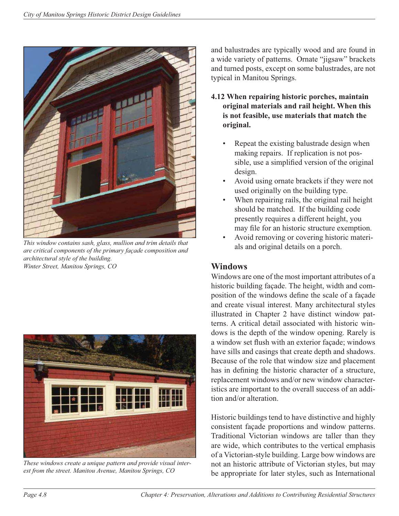

*This window contains sash, glass, mullion and trim details that are critical components of the primary façade composition and architectural style of the building. Winter Street, Manitou Springs, CO*



*These windows create a unique pattern and provide visual interest from the street. Manitou Avenue, Manitou Springs, CO*

and balustrades are typically wood and are found in a wide variety of patterns. Ornate "jigsaw" brackets and turned posts, except on some balustrades, are not typical in Manitou Springs.

- **4.12 When repairing historic porches, maintain original materials and rail height. When this is not feasible, use materials that match the original.**
	- Repeat the existing balustrade design when making repairs. If replication is not possible, use a simplified version of the original design.
	- Avoid using ornate brackets if they were not used originally on the building type.
	- When repairing rails, the original rail height should be matched. If the building code presently requires a different height, you may file for an historic structure exemption.
	- Avoid removing or covering historic materials and original details on a porch.

## **Windows**

Windows are one of the most important attributes of a historic building façade. The height, width and composition of the windows define the scale of a facade and create visual interest. Many architectural styles illustrated in Chapter 2 have distinct window patterns. A critical detail associated with historic windows is the depth of the window opening. Rarely is a window set flush with an exterior facade; windows have sills and casings that create depth and shadows. Because of the role that window size and placement has in defining the historic character of a structure, replacement windows and/or new window characteristics are important to the overall success of an addition and/or alteration.

Historic buildings tend to have distinctive and highly consistent façade proportions and window patterns. Traditional Victorian windows are taller than they are wide, which contributes to the vertical emphasis of a Victorian-style building. Large bow windows are not an historic attribute of Victorian styles, but may be appropriate for later styles, such as International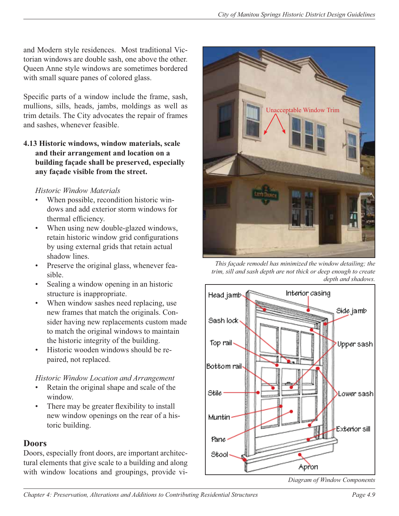and Modern style residences. Most traditional Victorian windows are double sash, one above the other. Queen Anne style windows are sometimes bordered with small square panes of colored glass.

Specific parts of a window include the frame, sash, mullions, sills, heads, jambs, moldings as well as trim details. The City advocates the repair of frames and sashes, whenever feasible.

#### **4.13 Historic windows, window materials, scale and their arrangement and location on a building façade shall be preserved, especially any façade visible from the street.**

#### *Historic Window Materials*

- When possible, recondition historic windows and add exterior storm windows for thermal efficiency.
- When using new double-glazed windows, retain historic window grid configurations by using external grids that retain actual shadow lines.
- Preserve the original glass, whenever feasible.
- Sealing a window opening in an historic structure is inappropriate.
- When window sashes need replacing, use new frames that match the originals. Consider having new replacements custom made to match the original windows to maintain the historic integrity of the building.
- Historic wooden windows should be repaired, not replaced.

*Historic Window Location and Arrangement*

- Retain the original shape and scale of the window.
- There may be greater flexibility to install new window openings on the rear of a historic building.

#### **Doors**

Doors, especially front doors, are important architectural elements that give scale to a building and along with window locations and groupings, provide vi-



*This façade remodel has minimized the window detailing; the trim, sill and sash depth are not thick or deep enough to create depth and shadows.*



*Diagram of Window Components*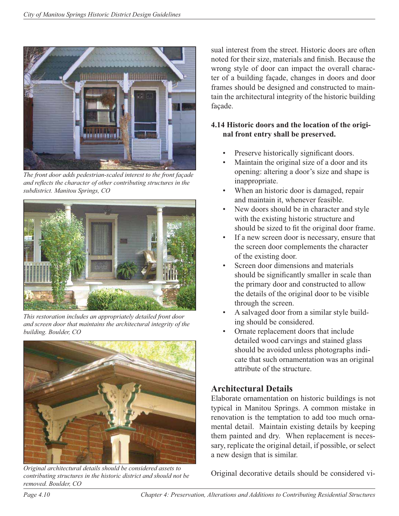

*The front door adds pedestrian-scaled interest to the front façade and reflects the character of other contributing structures in the subdistrict. Manitou Springs, CO*



*This restoration includes an appropriately detailed front door and screen door that maintains the architectural integrity of the building. Boulder, CO*



*Original architectural details should be considered assets to contributing structures in the historic district and should not be removed. Boulder, CO*

sual interest from the street. Historic doors are often noted for their size, materials and finish. Because the wrong style of door can impact the overall character of a building façade, changes in doors and door frames should be designed and constructed to maintain the architectural integrity of the historic building façade.

#### **4.14 Historic doors and the location of the original front entry shall be preserved.**

- Preserve historically significant doors.
- Maintain the original size of a door and its opening: altering a door's size and shape is inappropriate.
- When an historic door is damaged, repair and maintain it, whenever feasible.
- New doors should be in character and style with the existing historic structure and should be sized to fit the original door frame.
- If a new screen door is necessary, ensure that the screen door complements the character of the existing door.
- Screen door dimensions and materials should be significantly smaller in scale than the primary door and constructed to allow the details of the original door to be visible through the screen.
- A salvaged door from a similar style building should be considered.
- Ornate replacement doors that include detailed wood carvings and stained glass should be avoided unless photographs indicate that such ornamentation was an original attribute of the structure.

## **Architectural Details**

Elaborate ornamentation on historic buildings is not typical in Manitou Springs. A common mistake in renovation is the temptation to add too much ornamental detail. Maintain existing details by keeping them painted and dry. When replacement is necessary, replicate the original detail, if possible, or select a new design that is similar.

Original decorative details should be considered vi-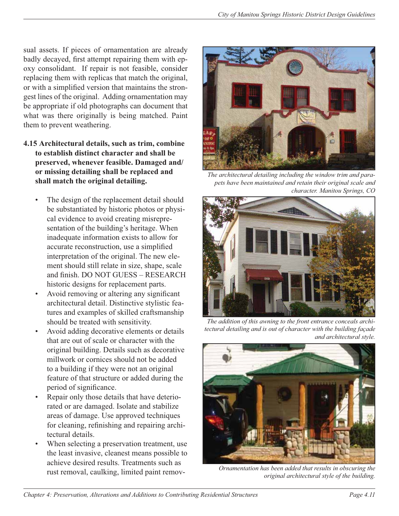sual assets. If pieces of ornamentation are already badly decayed, first attempt repairing them with epoxy consolidant. If repair is not feasible, consider replacing them with replicas that match the original, or with a simplified version that maintains the strongest lines of the original. Adding ornamentation may be appropriate if old photographs can document that what was there originally is being matched. Paint them to prevent weathering.

- **4.15 Architectural details, such as trim, combine to establish distinct character and shall be preserved, whenever feasible. Damaged and/ or missing detailing shall be replaced and shall match the original detailing.**
	- The design of the replacement detail should be substantiated by historic photos or physical evidence to avoid creating misrepresentation of the building's heritage. When inadequate information exists to allow for accurate reconstruction, use a simplified interpretation of the original. The new element should still relate in size, shape, scale and finish. DO NOT GUESS - RESEARCH historic designs for replacement parts.
	- Avoid removing or altering any significant architectural detail. Distinctive stylistic features and examples of skilled craftsmanship should be treated with sensitivity.
	- Avoid adding decorative elements or details that are out of scale or character with the original building. Details such as decorative millwork or cornices should not be added to a building if they were not an original feature of that structure or added during the period of significance.
	- Repair only those details that have deteriorated or are damaged. Isolate and stabilize areas of damage. Use approved techniques for cleaning, refinishing and repairing architectural details.
	- When selecting a preservation treatment, use the least invasive, cleanest means possible to achieve desired results. Treatments such as rust removal, caulking, limited paint remov-



*The architectural detailing including the window trim and parapets have been maintained and retain their original scale and character. Manitou Springs, CO*



*The addition of this awning to the front entrance conceals architectural detailing and is out of character with the building façade and architectural style.* 



*Ornamentation has been added that results in obscuring the original architectural style of the building.*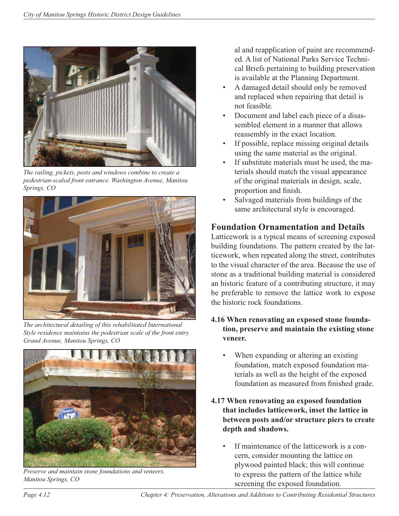

*The railing, pickets, posts and windows combine to create a pedestrian-scaled front entrance. Washington Avenue, Manitou Springs, CO*



*The architectural detailing of this rehabilitated International Style residence maintains the pedestrian scale of the front entry. Grand Avenue, Manitou Springs, CO*



*Preserve and maintain stone foundations and veneers. Manitou Springs, CO*

al and reapplication of paint are recommended. A list of National Parks Service Technical Briefs pertaining to building preservation is available at the Planning Department.

- A damaged detail should only be removed and replaced when repairing that detail is not feasible.
- Document and label each piece of a disassembled element in a manner that allows reassembly in the exact location.
- If possible, replace missing original details using the same material as the original.
- If substitute materials must be used, the materials should match the visual appearance of the original materials in design, scale, proportion and finish.
- Salvaged materials from buildings of the same architectural style is encouraged.

## **Foundation Ornamentation and Details**

Latticework is a typical means of screening exposed building foundations. The pattern created by the latticework, when repeated along the street, contributes to the visual character of the area. Because the use of stone as a traditional building material is considered an historic feature of a contributing structure, it may be preferable to remove the lattice work to expose the historic rock foundations.

#### **4.16 When renovating an exposed stone foundation, preserve and maintain the existing stone veneer.**

• When expanding or altering an existing foundation, match exposed foundation materials as well as the height of the exposed foundation as measured from finished grade.

#### **4.17 When renovating an exposed foundation that includes latticework, inset the lattice in between posts and/or structure piers to create depth and shadows.**

If maintenance of the latticework is a concern, consider mounting the lattice on plywood painted black; this will continue to express the pattern of the lattice while screening the exposed foundation.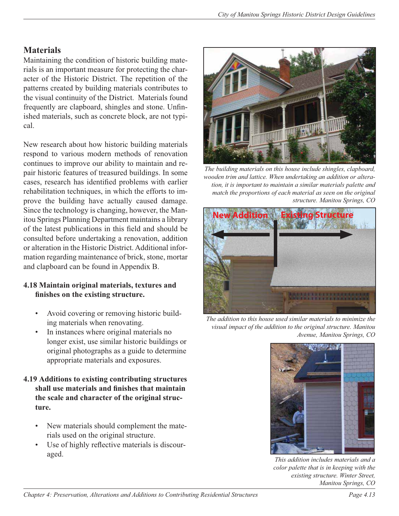## **Materials**

Maintaining the condition of historic building materials is an important measure for protecting the character of the Historic District. The repetition of the patterns created by building materials contributes to the visual continuity of the District. Materials found frequently are clapboard, shingles and stone. Unfinished materials, such as concrete block, are not typical.

New research about how historic building materials respond to various modern methods of renovation continues to improve our ability to maintain and repair historic features of treasured buildings. In some cases, research has identified problems with earlier rehabilitation techniques, in which the efforts to improve the building have actually caused damage. Since the technology is changing, however, the Manitou Springs Planning Department maintains a library of the latest publications in this field and should be consulted before undertaking a renovation, addition or alteration in the Historic District. Additional information regarding maintenance of brick, stone, mortar and clapboard can be found in Appendix B.

#### **4.18 Maintain original materials, textures and**  finishes on the existing structure.

- Avoid covering or removing historic building materials when renovating.
- In instances where original materials no longer exist, use similar historic buildings or original photographs as a guide to determine appropriate materials and exposures.
- **4.19 Additions to existing contributing structures**  shall use materials and finishes that maintain **the scale and character of the original structure.**
	- New materials should complement the materials used on the original structure.
	- Use of highly reflective materials is discouraged. *This addition includes materials and a*



*The building materials on this house include shingles, clapboard, wooden trim and lattice. When undertaking an addition or alteration, it is important to maintain a similar materials palette and match the proportions of each material as seen on the original structure. Manitou Springs, CO*



*The addition to this house used similar materials to minimize the visual impact of the addition to the original structure. Manitou Avenue, Manitou Springs, CO*



*color palette that is in keeping with the existing structure. Winter Street, Manitou Springs, CO*